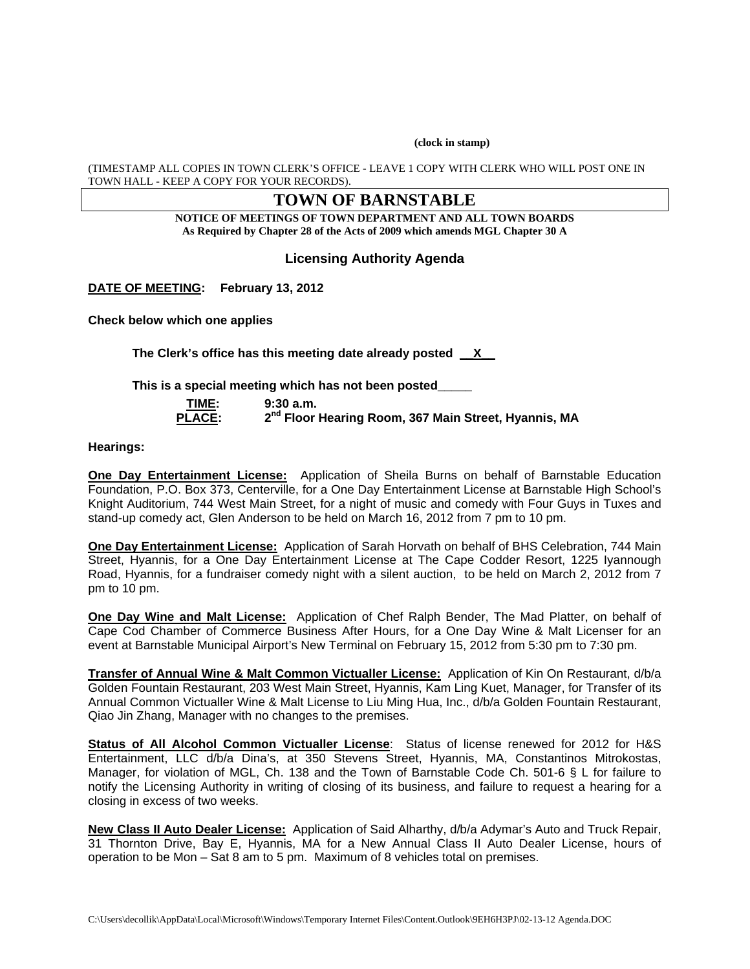**(clock in stamp)** 

(TIMESTAMP ALL COPIES IN TOWN CLERK'S OFFICE - LEAVE 1 COPY WITH CLERK WHO WILL POST ONE IN TOWN HALL - KEEP A COPY FOR YOUR RECORDS).

# **TOWN OF BARNSTABLE**

**NOTICE OF MEETINGS OF TOWN DEPARTMENT AND ALL TOWN BOARDS As Required by Chapter 28 of the Acts of 2009 which amends MGL Chapter 30 A** 

## **Licensing Authority Agenda**

**DATE OF MEETING: February 13, 2012** 

**Check below which one applies** 

**The Clerk's office has this meeting date already posted \_\_X\_\_** 

**This is a special meeting which has not been posted\_\_\_\_\_** 

| TIME:         |  |
|---------------|--|
| <b>PLACE:</b> |  |

**9:30 a.m.** 2<sup>nd</sup> Floor Hearing Room, 367 Main Street, Hyannis, MA

**Hearings:** 

**One Day Entertainment License:** Application of Sheila Burns on behalf of Barnstable Education Foundation, P.O. Box 373, Centerville, for a One Day Entertainment License at Barnstable High School's Knight Auditorium, 744 West Main Street, for a night of music and comedy with Four Guys in Tuxes and stand-up comedy act, Glen Anderson to be held on March 16, 2012 from 7 pm to 10 pm.

**One Day Entertainment License:** Application of Sarah Horvath on behalf of BHS Celebration, 744 Main Street, Hyannis, for a One Day Entertainment License at The Cape Codder Resort, 1225 Iyannough Road, Hyannis, for a fundraiser comedy night with a silent auction, to be held on March 2, 2012 from 7 pm to 10 pm.

**One Day Wine and Malt License:** Application of Chef Ralph Bender, The Mad Platter, on behalf of Cape Cod Chamber of Commerce Business After Hours, for a One Day Wine & Malt Licenser for an event at Barnstable Municipal Airport's New Terminal on February 15, 2012 from 5:30 pm to 7:30 pm.

**Transfer of Annual Wine & Malt Common Victualler License:** Application of Kin On Restaurant, d/b/a Golden Fountain Restaurant, 203 West Main Street, Hyannis, Kam Ling Kuet, Manager, for Transfer of its Annual Common Victualler Wine & Malt License to Liu Ming Hua, Inc., d/b/a Golden Fountain Restaurant, Qiao Jin Zhang, Manager with no changes to the premises.

**Status of All Alcohol Common Victualler License**: Status of license renewed for 2012 for H&S Entertainment, LLC d/b/a Dina's, at 350 Stevens Street, Hyannis, MA, Constantinos Mitrokostas, Manager, for violation of MGL, Ch. 138 and the Town of Barnstable Code Ch. 501-6 § L for failure to notify the Licensing Authority in writing of closing of its business, and failure to request a hearing for a closing in excess of two weeks.

**New Class II Auto Dealer License:** Application of Said Alharthy, d/b/a Adymar's Auto and Truck Repair, 31 Thornton Drive, Bay E, Hyannis, MA for a New Annual Class II Auto Dealer License, hours of operation to be Mon – Sat 8 am to 5 pm. Maximum of 8 vehicles total on premises.